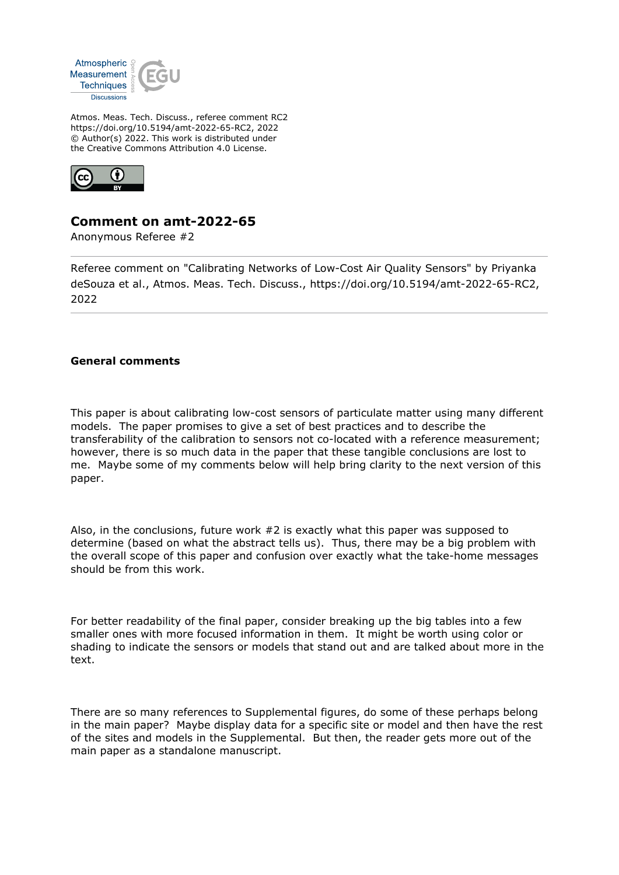

Atmos. Meas. Tech. Discuss., referee comment RC2 https://doi.org/10.5194/amt-2022-65-RC2, 2022 © Author(s) 2022. This work is distributed under the Creative Commons Attribution 4.0 License.



## **Comment on amt-2022-65**

Anonymous Referee #2

Referee comment on "Calibrating Networks of Low-Cost Air Quality Sensors" by Priyanka deSouza et al., Atmos. Meas. Tech. Discuss., https://doi.org/10.5194/amt-2022-65-RC2, 2022

## **General comments**

This paper is about calibrating low-cost sensors of particulate matter using many different models. The paper promises to give a set of best practices and to describe the transferability of the calibration to sensors not co-located with a reference measurement; however, there is so much data in the paper that these tangible conclusions are lost to me. Maybe some of my comments below will help bring clarity to the next version of this paper.

Also, in the conclusions, future work #2 is exactly what this paper was supposed to determine (based on what the abstract tells us). Thus, there may be a big problem with the overall scope of this paper and confusion over exactly what the take-home messages should be from this work.

For better readability of the final paper, consider breaking up the big tables into a few smaller ones with more focused information in them. It might be worth using color or shading to indicate the sensors or models that stand out and are talked about more in the text.

There are so many references to Supplemental figures, do some of these perhaps belong in the main paper? Maybe display data for a specific site or model and then have the rest of the sites and models in the Supplemental. But then, the reader gets more out of the main paper as a standalone manuscript.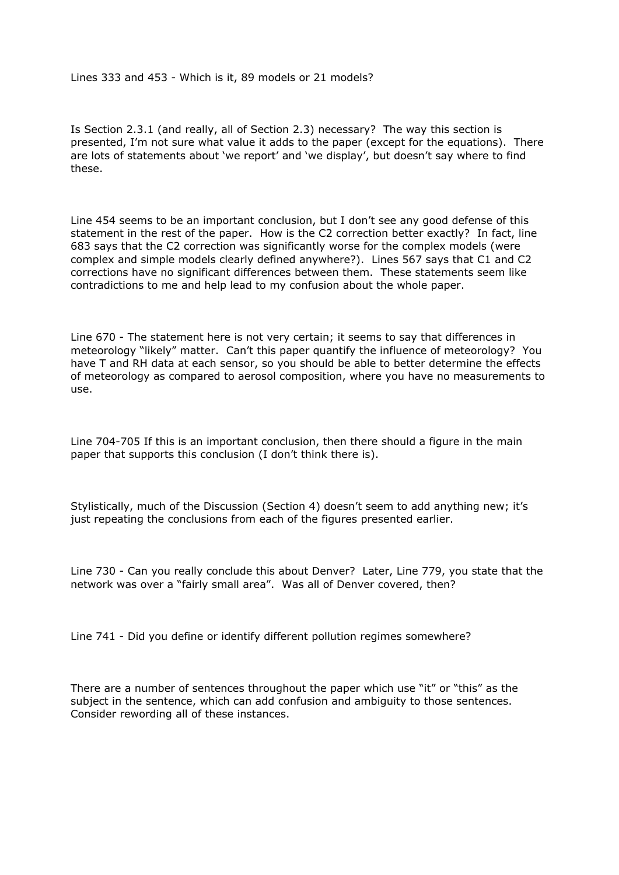Lines 333 and 453 - Which is it, 89 models or 21 models?

Is Section 2.3.1 (and really, all of Section 2.3) necessary? The way this section is presented, I'm not sure what value it adds to the paper (except for the equations). There are lots of statements about 'we report' and 'we display', but doesn't say where to find these.

Line 454 seems to be an important conclusion, but I don't see any good defense of this statement in the rest of the paper. How is the C2 correction better exactly? In fact, line 683 says that the C2 correction was significantly worse for the complex models (were complex and simple models clearly defined anywhere?). Lines 567 says that C1 and C2 corrections have no significant differences between them. These statements seem like contradictions to me and help lead to my confusion about the whole paper.

Line 670 - The statement here is not very certain; it seems to say that differences in meteorology "likely" matter. Can't this paper quantify the influence of meteorology? You have T and RH data at each sensor, so you should be able to better determine the effects of meteorology as compared to aerosol composition, where you have no measurements to use.

Line 704-705 If this is an important conclusion, then there should a figure in the main paper that supports this conclusion (I don't think there is).

Stylistically, much of the Discussion (Section 4) doesn't seem to add anything new; it's just repeating the conclusions from each of the figures presented earlier.

Line 730 - Can you really conclude this about Denver? Later, Line 779, you state that the network was over a "fairly small area". Was all of Denver covered, then?

Line 741 - Did you define or identify different pollution regimes somewhere?

There are a number of sentences throughout the paper which use "it" or "this" as the subject in the sentence, which can add confusion and ambiguity to those sentences. Consider rewording all of these instances.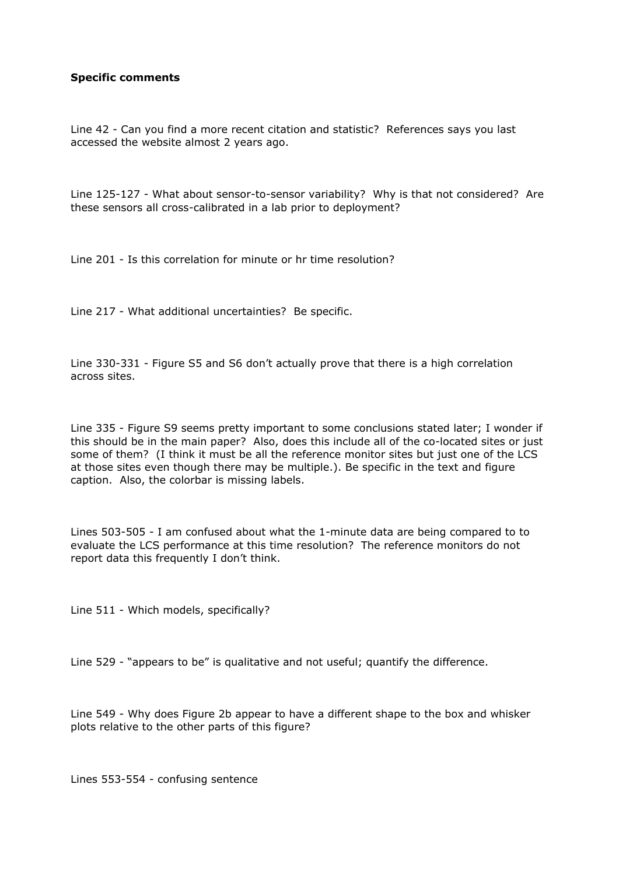## **Specific comments**

Line 42 - Can you find a more recent citation and statistic? References says you last accessed the website almost 2 years ago.

Line 125-127 - What about sensor-to-sensor variability? Why is that not considered? Are these sensors all cross-calibrated in a lab prior to deployment?

Line 201 - Is this correlation for minute or hr time resolution?

Line 217 - What additional uncertainties? Be specific.

Line 330-331 - Figure S5 and S6 don't actually prove that there is a high correlation across sites.

Line 335 - Figure S9 seems pretty important to some conclusions stated later; I wonder if this should be in the main paper? Also, does this include all of the co-located sites or just some of them? (I think it must be all the reference monitor sites but just one of the LCS at those sites even though there may be multiple.). Be specific in the text and figure caption. Also, the colorbar is missing labels.

Lines 503-505 - I am confused about what the 1-minute data are being compared to to evaluate the LCS performance at this time resolution? The reference monitors do not report data this frequently I don't think.

Line 511 - Which models, specifically?

Line 529 - "appears to be" is qualitative and not useful; quantify the difference.

Line 549 - Why does Figure 2b appear to have a different shape to the box and whisker plots relative to the other parts of this figure?

Lines 553-554 - confusing sentence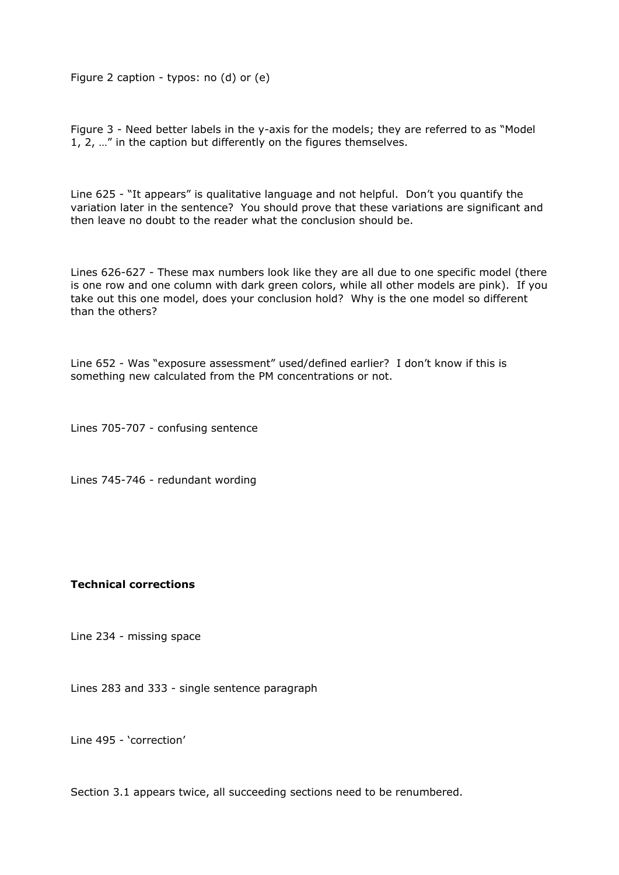Figure 2 caption - typos: no (d) or (e)

Figure 3 - Need better labels in the y-axis for the models; they are referred to as "Model 1, 2, …" in the caption but differently on the figures themselves.

Line 625 - "It appears" is qualitative language and not helpful. Don't you quantify the variation later in the sentence? You should prove that these variations are significant and then leave no doubt to the reader what the conclusion should be.

Lines 626-627 - These max numbers look like they are all due to one specific model (there is one row and one column with dark green colors, while all other models are pink). If you take out this one model, does your conclusion hold? Why is the one model so different than the others?

Line 652 - Was "exposure assessment" used/defined earlier? I don't know if this is something new calculated from the PM concentrations or not.

Lines 705-707 - confusing sentence

Lines 745-746 - redundant wording

## **Technical corrections**

Line 234 - missing space

Lines 283 and 333 - single sentence paragraph

Line 495 - 'correction'

Section 3.1 appears twice, all succeeding sections need to be renumbered.